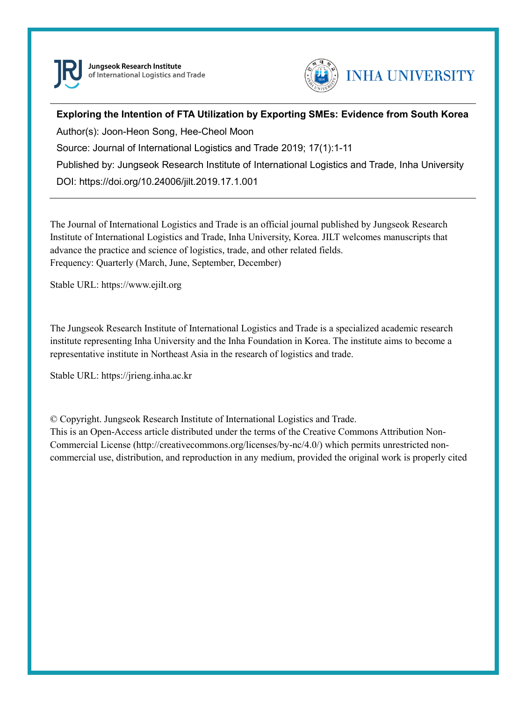

Jungseok Research Institute of International Logistics and Trade



### **Exploring the Intention of FTA Utilization by Exporting SMEs: Evidence from South Korea**

Author(s): Joon-Heon Song, Hee-Cheol Moon Source: Journal of International Logistics and Trade 2019; 17(1):1-11 Published by: Jungseok Research Institute of International Logistics and Trade, Inha University DOI: https://doi.org/10.24006/jilt.2019.17.1.001

The Journal of International Logistics and Trade is an official journal published by Jungseok Research Institute of International Logistics and Trade, Inha University, Korea. JILT welcomes manuscripts that advance the practice and science of logistics, trade, and other related fields. Frequency: Quarterly (March, June, September, December)

Stable URL: https://www.ejilt.org

The Jungseok Research Institute of International Logistics and Trade is a specialized academic research institute representing Inha University and the Inha Foundation in Korea. The institute aims to become a representative institute in Northeast Asia in the research of logistics and trade.

Stable URL: https://jrieng.inha.ac.kr

© Copyright. Jungseok Research Institute of International Logistics and Trade.

This is an Open-Access article distributed under the terms of the Creative Commons Attribution Non-Commercial License (http://creativecommons.org/licenses/by-nc/4.0/) which permits unrestricted noncommercial use, distribution, and reproduction in any medium, provided the original work is properly cited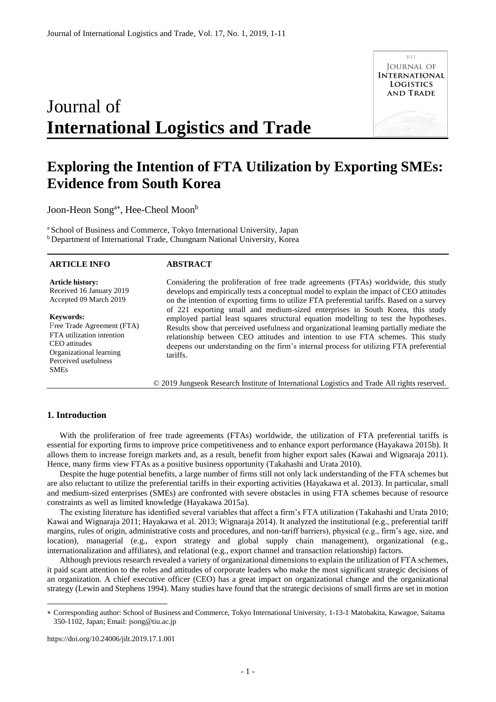# Journal of **International Logistics and Trade**

**ILLT JOURNAL OF INTERNATIONAL LOGISTICS AND TRADE** 

## **Exploring the Intention of FTA Utilization by Exporting SMEs: Evidence from South Korea**

Joon-Heon Song<sup>a\*</sup>, Hee-Cheol Moon<sup>b</sup>

<sup>a</sup> School of Business and Commerce, Tokyo International University, Japan <sup>b</sup> Department of International Trade, Chungnam National University, Korea

#### **ARTICLE INFO**

#### **ABSTRACT**

**Article history:**  Received 16 January 2019 Accepted 09 March 2019

**Keywords:** 

Free Trade Agreement (FTA) FTA utilization intention CEO attitudes Organizational learning Perceived usefulness SMEs

Considering the proliferation of free trade agreements (FTAs) worldwide, this study develops and empirically tests a conceptual model to explain the impact of CEO attitudes on the intention of exporting firms to utilize FTA preferential tariffs. Based on a survey of 221 exporting small and medium-sized enterprises in South Korea, this study employed partial least squares structural equation modelling to test the hypotheses. Results show that perceived usefulness and organizational learning partially mediate the relationship between CEO attitudes and intention to use FTA schemes. This study deepens our understanding on the firm's internal process for utilizing FTA preferential tariffs.

© 2019 Jungseok Research Institute of International Logistics and Trade All rights reserved.

#### **1. Introduction**

-

With the proliferation of free trade agreements (FTAs) worldwide, the utilization of FTA preferential tariffs is essential for exporting firms to improve price competitiveness and to enhance export performance (Hayakawa 2015b). It allows them to increase foreign markets and, as a result, benefit from higher export sales (Kawai and Wignaraja 2011). Hence, many firms view FTAs as a positive business opportunity (Takahashi and Urata 2010).

Despite the huge potential benefits, a large number of firms still not only lack understanding of the FTA schemes but are also reluctant to utilize the preferential tariffs in their exporting activities (Hayakawa et al. 2013). In particular, small and medium-sized enterprises (SMEs) are confronted with severe obstacles in using FTA schemes because of resource constraints as well as limited knowledge (Hayakawa 2015a).

The existing literature has identified several variables that affect a firm's FTA utilization (Takahashi and Urata 2010; Kawai and Wignaraja 2011; Hayakawa et al. 2013; Wignaraja 2014). It analyzed the institutional (e.g., preferential tariff margins, rules of origin, administrative costs and procedures, and non-tariff barriers), physical (e.g., firm's age, size, and location), managerial (e.g., export strategy and global supply chain management), organizational (e.g., internationalization and affiliates), and relational (e.g., export channel and transaction relationship) factors.

Although previous research revealed a variety of organizational dimensions to explain the utilization of FTA schemes, it paid scant attention to the roles and attitudes of corporate leaders who make the most significant strategic decisions of an organization. A chief executive officer (CEO) has a great impact on organizational change and the organizational strategy (Lewin and Stephens 1994). Many studies have found that the strategic decisions of small firms are set in motion

https://doi.org/10.24006/jilt.2019.17.1.001

Corresponding author: School of Business and Commerce, Tokyo International University, 1-13-1 Matobakita, Kawagoe, Saitama 350-1102, Japan; Email: jsong@tiu.ac.jp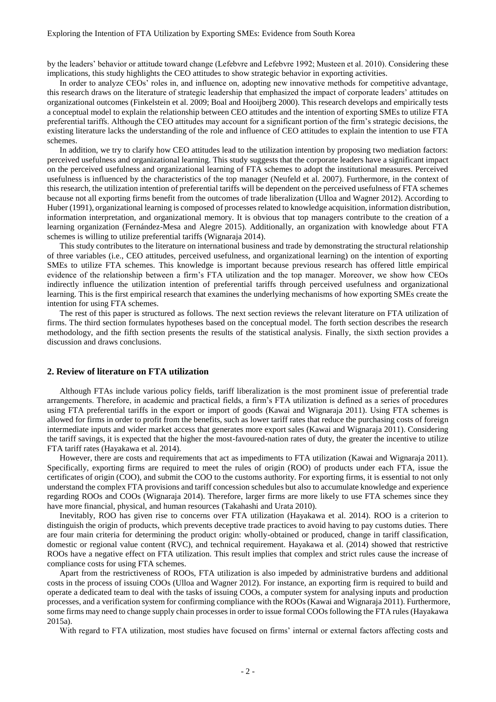by the leaders' behavior or attitude toward change (Lefebvre and Lefebvre 1992; Musteen et al. 2010). Considering these implications, this study highlights the CEO attitudes to show strategic behavior in exporting activities.

In order to analyze CEOs' roles in, and influence on, adopting new innovative methods for competitive advantage, this research draws on the literature of strategic leadership that emphasized the impact of corporate leaders' attitudes on organizational outcomes (Finkelstein et al. 2009; Boal and Hooijberg 2000). This research develops and empirically tests a conceptual model to explain the relationship between CEO attitudes and the intention of exporting SMEs to utilize FTA preferential tariffs. Although the CEO attitudes may account for a significant portion of the firm's strategic decisions, the existing literature lacks the understanding of the role and influence of CEO attitudes to explain the intention to use FTA schemes.

In addition, we try to clarify how CEO attitudes lead to the utilization intention by proposing two mediation factors: perceived usefulness and organizational learning. This study suggests that the corporate leaders have a significant impact on the perceived usefulness and organizational learning of FTA schemes to adopt the institutional measures. Perceived usefulness is influenced by the characteristics of the top manager (Neufeld et al. 2007). Furthermore, in the context of this research, the utilization intention of preferential tariffs will be dependent on the perceived usefulness of FTA schemes because not all exporting firms benefit from the outcomes of trade liberalization (Ulloa and Wagner 2012). According to Huber (1991), organizational learning is composed of processes related to knowledge acquisition, information distribution, information interpretation, and organizational memory. It is obvious that top managers contribute to the creation of a learning organization (Fernández-Mesa and Alegre 2015). Additionally, an organization with knowledge about FTA schemes is willing to utilize preferential tariffs (Wignaraja 2014).

This study contributes to the literature on international business and trade by demonstrating the structural relationship of three variables (i.e., CEO attitudes, perceived usefulness, and organizational learning) on the intention of exporting SMEs to utilize FTA schemes. This knowledge is important because previous research has offered little empirical evidence of the relationship between a firm's FTA utilization and the top manager. Moreover, we show how CEOs indirectly influence the utilization intention of preferential tariffs through perceived usefulness and organizational learning. This is the first empirical research that examines the underlying mechanisms of how exporting SMEs create the intention for using FTA schemes.

The rest of this paper is structured as follows. The next section reviews the relevant literature on FTA utilization of firms. The third section formulates hypotheses based on the conceptual model. The forth section describes the research methodology, and the fifth section presents the results of the statistical analysis. Finally, the sixth section provides a discussion and draws conclusions.

#### **2. Review of literature on FTA utilization**

Although FTAs include various policy fields, tariff liberalization is the most prominent issue of preferential trade arrangements. Therefore, in academic and practical fields, a firm's FTA utilization is defined as a series of procedures using FTA preferential tariffs in the export or import of goods (Kawai and Wignaraja 2011). Using FTA schemes is allowed for firms in order to profit from the benefits, such as lower tariff rates that reduce the purchasing costs of foreign intermediate inputs and wider market access that generates more export sales (Kawai and Wignaraja 2011). Considering the tariff savings, it is expected that the higher the most-favoured-nation rates of duty, the greater the incentive to utilize FTA tariff rates (Hayakawa et al. 2014).

However, there are costs and requirements that act as impediments to FTA utilization (Kawai and Wignaraja 2011). Specifically, exporting firms are required to meet the rules of origin (ROO) of products under each FTA, issue the certificates of origin (COO), and submit the COO to the customs authority. For exporting firms, it is essential to not only understand the complex FTA provisions and tariff concession schedules but also to accumulate knowledge and experience regarding ROOs and COOs (Wignaraja 2014). Therefore, larger firms are more likely to use FTA schemes since they have more financial, physical, and human resources (Takahashi and Urata 2010).

Inevitably, ROO has given rise to concerns over FTA utilization (Hayakawa et al. 2014). ROO is a criterion to distinguish the origin of products, which prevents deceptive trade practices to avoid having to pay customs duties. There are four main criteria for determining the product origin: wholly-obtained or produced, change in tariff classification, domestic or regional value content (RVC), and technical requirement. Hayakawa et al. (2014) showed that restrictive ROOs have a negative effect on FTA utilization. This result implies that complex and strict rules cause the increase of compliance costs for using FTA schemes.

Apart from the restrictiveness of ROOs, FTA utilization is also impeded by administrative burdens and additional costs in the process of issuing COOs (Ulloa and Wagner 2012). For instance, an exporting firm is required to build and operate a dedicated team to deal with the tasks of issuing COOs, a computer system for analysing inputs and production processes, and a verification system for confirming compliance with the ROOs (Kawai and Wignaraja 2011). Furthermore, some firms may need to change supply chain processes in order to issue formal COOs following the FTA rules (Hayakawa 2015a).

With regard to FTA utilization, most studies have focused on firms' internal or external factors affecting costs and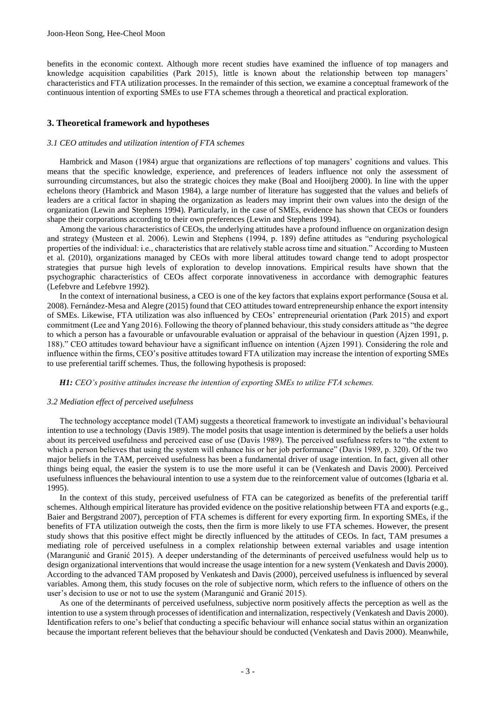benefits in the economic context. Although more recent studies have examined the influence of top managers and knowledge acquisition capabilities (Park 2015), little is known about the relationship between top managers' characteristics and FTA utilization processes. In the remainder of this section, we examine a conceptual framework of the continuous intention of exporting SMEs to use FTA schemes through a theoretical and practical exploration.

#### **3. Theoretical framework and hypotheses**

#### *3.1 CEO attitudes and utilization intention of FTA schemes*

Hambrick and Mason (1984) argue that organizations are reflections of top managers' cognitions and values. This means that the specific knowledge, experience, and preferences of leaders influence not only the assessment of surrounding circumstances, but also the strategic choices they make (Boal and Hooijberg 2000). In line with the upper echelons theory (Hambrick and Mason 1984), a large number of literature has suggested that the values and beliefs of leaders are a critical factor in shaping the organization as leaders may imprint their own values into the design of the organization (Lewin and Stephens 1994). Particularly, in the case of SMEs, evidence has shown that CEOs or founders shape their corporations according to their own preferences (Lewin and Stephens 1994).

Among the various characteristics of CEOs, the underlying attitudes have a profound influence on organization design and strategy (Musteen et al. 2006). Lewin and Stephens (1994, p. 189) define attitudes as "enduring psychological properties of the individual: i.e., characteristics that are relatively stable across time and situation." According to Musteen et al. (2010), organizations managed by CEOs with more liberal attitudes toward change tend to adopt prospector strategies that pursue high levels of exploration to develop innovations. Empirical results have shown that the psychographic characteristics of CEOs affect corporate innovativeness in accordance with demographic features (Lefebvre and Lefebvre 1992).

In the context of international business, a CEO is one of the key factors that explains export performance (Sousa et al. 2008). Fernández-Mesa and Alegre (2015) found that CEO attitudes toward entrepreneurship enhance the export intensity of SMEs. Likewise, FTA utilization was also influenced by CEOs' entrepreneurial orientation (Park 2015) and export commitment (Lee and Yang 2016). Following the theory of planned behaviour, this study considers attitude as "the degree to which a person has a favourable or unfavourable evaluation or appraisal of the behaviour in question (Ajzen 1991, p. 188)." CEO attitudes toward behaviour have a significant influence on intention (Ajzen 1991). Considering the role and influence within the firms, CEO's positive attitudes toward FTA utilization may increase the intention of exporting SMEs to use preferential tariff schemes. Thus, the following hypothesis is proposed:

#### *H1: CEO's positive attitudes increase the intention of exporting SMEs to utilize FTA schemes.*

#### *3.2 Mediation effect of perceived usefulness*

The technology acceptance model (TAM) suggests a theoretical framework to investigate an individual's behavioural intention to use a technology (Davis 1989). The model posits that usage intention is determined by the beliefs a user holds about its perceived usefulness and perceived ease of use (Davis 1989). The perceived usefulness refers to "the extent to which a person believes that using the system will enhance his or her job performance" (Davis 1989, p. 320). Of the two major beliefs in the TAM, perceived usefulness has been a fundamental driver of usage intention. In fact, given all other things being equal, the easier the system is to use the more useful it can be (Venkatesh and Davis 2000). Perceived usefulness influences the behavioural intention to use a system due to the reinforcement value of outcomes (Igbaria et al. 1995).

In the context of this study, perceived usefulness of FTA can be categorized as benefits of the preferential tariff schemes. Although empirical literature has provided evidence on the positive relationship between FTA and exports (e.g., Baier and Bergstrand 2007), perception of FTA schemes is different for every exporting firm. In exporting SMEs, if the benefits of FTA utilization outweigh the costs, then the firm is more likely to use FTA schemes. However, the present study shows that this positive effect might be directly influenced by the attitudes of CEOs. In fact, TAM presumes a mediating role of perceived usefulness in a complex relationship between external variables and usage intention (Marangunić and Granić 2015). A deeper understanding of the determinants of perceived usefulness would help us to design organizational interventions that would increase the usage intention for a new system (Venkatesh and Davis 2000). According to the advanced TAM proposed by Venkatesh and Davis (2000), perceived usefulness is influenced by several variables. Among them, this study focuses on the role of subjective norm, which refers to the influence of others on the user's decision to use or not to use the system (Marangunić and Granić 2015).

As one of the determinants of perceived usefulness, subjective norm positively affects the perception as well as the intention to use a system through processes of identification and internalization, respectively (Venkatesh and Davis 2000). Identification refers to one's belief that conducting a specific behaviour will enhance social status within an organization because the important referent believes that the behaviour should be conducted (Venkatesh and Davis 2000). Meanwhile,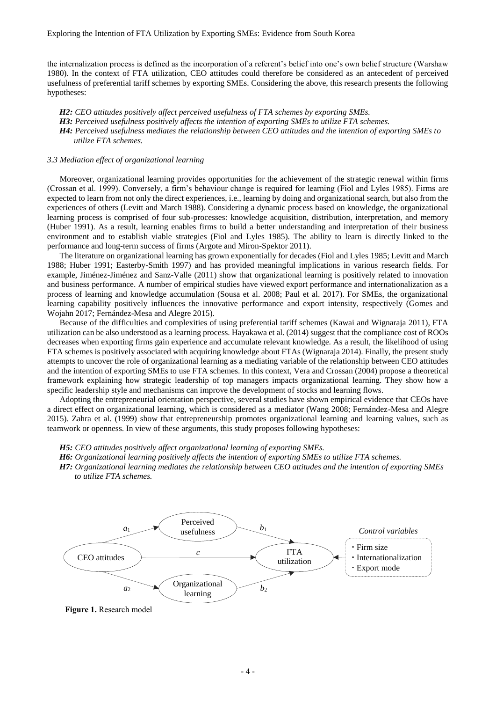the internalization process is defined as the incorporation of a referent's belief into one's own belief structure (Warshaw 1980). In the context of FTA utilization, CEO attitudes could therefore be considered as an antecedent of perceived usefulness of preferential tariff schemes by exporting SMEs. Considering the above, this research presents the following hypotheses:

*H2: CEO attitudes positively affect perceived usefulness of FTA schemes by exporting SMEs. H3: Perceived usefulness positively affects the intention of exporting SMEs to utilize FTA schemes. H4: Perceived usefulness mediates the relationship between CEO attitudes and the intention of exporting SMEs to utilize FTA schemes.*

#### *3.3 Mediation effect of organizational learning*

Moreover, organizational learning provides opportunities for the achievement of the strategic renewal within firms (Crossan et al. 1999). Conversely, a firm's behaviour change is required for learning (Fiol and Lyles 1985). Firms are expected to learn from not only the direct experiences, i.e., learning by doing and organizational search, but also from the experiences of others (Levitt and March 1988). Considering a dynamic process based on knowledge, the organizational learning process is comprised of four sub-processes: knowledge acquisition, distribution, interpretation, and memory (Huber 1991). As a result, learning enables firms to build a better understanding and interpretation of their business environment and to establish viable strategies (Fiol and Lyles 1985). The ability to learn is directly linked to the performance and long-term success of firms (Argote and Miron-Spektor 2011).

The literature on organizational learning has grown exponentially for decades (Fiol and Lyles 1985; Levitt and March 1988; Huber 1991; Easterby-Smith 1997) and has provided meaningful implications in various research fields. For example, Jiménez-Jiménez and Sanz-Valle (2011) show that organizational learning is positively related to innovation and business performance. A number of empirical studies have viewed export performance and internationalization as a process of learning and knowledge accumulation (Sousa et al. 2008; Paul et al. 2017). For SMEs, the organizational learning capability positively influences the innovative performance and export intensity, respectively (Gomes and Wojahn 2017; Fernández-Mesa and Alegre 2015).

Because of the difficulties and complexities of using preferential tariff schemes (Kawai and Wignaraja 2011), FTA utilization can be also understood as a learning process. Hayakawa et al. (2014) suggest that the compliance cost of ROOs decreases when exporting firms gain experience and accumulate relevant knowledge. As a result, the likelihood of using FTA schemes is positively associated with acquiring knowledge about FTAs (Wignaraja 2014). Finally, the present study attempts to uncover the role of organizational learning as a mediating variable of the relationship between CEO attitudes and the intention of exporting SMEs to use FTA schemes. In this context, Vera and Crossan (2004) propose a theoretical framework explaining how strategic leadership of top managers impacts organizational learning. They show how a specific leadership style and mechanisms can improve the development of stocks and learning flows.

Adopting the entrepreneurial orientation perspective, several studies have shown empirical evidence that CEOs have a direct effect on organizational learning, which is considered as a mediator (Wang 2008; Fernández-Mesa and Alegre 2015). Zahra et al. (1999) show that entrepreneurship promotes organizational learning and learning values, such as teamwork or openness. In view of these arguments, this study proposes following hypotheses:

- *H5: CEO attitudes positively affect organizational learning of exporting SMEs.*
- *H6: Organizational learning positively affects the intention of exporting SMEs to utilize FTA schemes.*
- *H7: Organizational learning mediates the relationship between CEO attitudes and the intention of exporting SMEs to utilize FTA schemes.*



**Figure 1.** Research model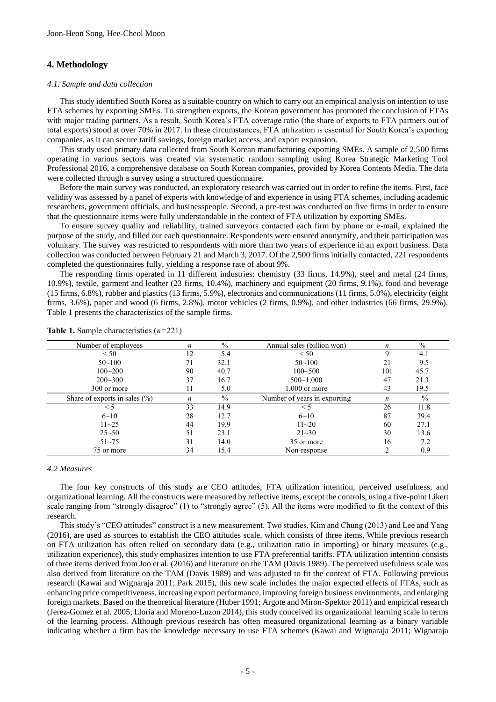#### **4. Methodology**

#### *4.1. Sample and data collection*

This study identified South Korea as a suitable country on which to carry out an empirical analysis on intention to use FTA schemes by exporting SMEs. To strengthen exports, the Korean government has promoted the conclusion of FTAs with major trading partners. As a result, South Korea's FTA coverage ratio (the share of exports to FTA partners out of total exports) stood at over 70% in 2017. In these circumstances, FTA utilization is essential for South Korea's exporting companies, as it can secure tariff savings, foreign market access, and export expansion.

This study used primary data collected from South Korean manufacturing exporting SMEs. A sample of 2,500 firms operating in various sectors was created via systematic random sampling using Korea Strategic Marketing Tool Professional 2016, a comprehensive database on South Korean companies, provided by Korea Contents Media. The data were collected through a survey using a structured questionnaire.

Before the main survey was conducted, an exploratory research was carried out in order to refine the items. First, face validity was assessed by a panel of experts with knowledge of and experience in using FTA schemes, including academic researchers, government officials, and businesspeople. Second, a pre-test was conducted on five firms in order to ensure that the questionnaire items were fully understandable in the context of FTA utilization by exporting SMEs.

To ensure survey quality and reliability, trained surveyors contacted each firm by phone or e-mail, explained the purpose of the study, and filled out each questionnaire. Respondents were ensured anonymity, and their participation was voluntary. The survey was restricted to respondents with more than two years of experience in an export business. Data collection was conducted between February 21 and March 3, 2017. Of the 2,500 firms initially contacted, 221 respondents completed the questionnaires fully, yielding a response rate of about 9%.

The responding firms operated in 11 different industries: chemistry (33 firms, 14.9%), steel and metal (24 firms, 10.9%), textile, garment and leather (23 firms, 10.4%), machinery and equipment (20 firms, 9.1%), food and beverage (15 firms, 6.8%), rubber and plastics (13 firms, 5.9%), electronics and communications (11 firms, 5.0%), electricity (eight firms, 3.6%), paper and wood (6 firms, 2.8%), motor vehicles (2 firms, 0.9%), and other industries (66 firms, 29.9%). Table 1 presents the characteristics of the sample firms.

| Number of employees              | n                | $\frac{0}{0}$ | Annual sales (billion won)   | n                | $\frac{0}{0}$ |
|----------------------------------|------------------|---------------|------------------------------|------------------|---------------|
| < 50                             | 12               | 5.4           | < 50                         |                  | 4.1           |
| $50 - 100$                       | 71               | 32.1          | $50 - 100$                   | 21               | 9.5           |
| $100 - 200$                      | 90               | 40.7          | $100 - 500$                  | 101              | 45.7          |
| $200 - 300$                      | 37               | 16.7          | $500 - 1,000$                | 47               | 21.3          |
| 300 or more                      | 11               | 5.0           | $1,000$ or more              | 43               | 19.5          |
| Share of exports in sales $(\%)$ | $\boldsymbol{n}$ | $\%$          | Number of years in exporting | $\boldsymbol{n}$ | $\%$          |
| $\leq 5$                         | 33               | 14.9          | $\leq 5$                     | 26               | 11.8          |
| $6 - 10$                         | 28               | 12.7          | $6 - 10$                     | 87               | 39.4          |
| $11 - 25$                        | 44               | 19.9          | $11 - 20$                    | 60               | 27.1          |
| $25 - 50$                        | 51               | 23.1          | $21 - 30$                    | 30               | 13.6          |
| $51 - 75$                        | 31               | 14.0          | 35 or more                   | 16               | 7.2           |
| 75 or more                       | 34               | 15.4          | Non-response                 |                  | 0.9           |

**Table 1.** Sample characteristics (*n=*221)

#### *4.2 Measures*

The four key constructs of this study are CEO attitudes, FTA utilization intention, perceived usefulness, and organizational learning. All the constructs were measured by reflective items, except the controls, using a five-point Likert scale ranging from "strongly disagree" (1) to "strongly agree" (5). All the items were modified to fit the context of this research.

This study's "CEO attitudes" construct is a new measurement. Two studies, Kim and Chung (2013) and Lee and Yang (2016), are used as sources to establish the CEO attitudes scale, which consists of three items. While previous research on FTA utilization has often relied on secondary data (e.g., utilization ratio in importing) or binary measures (e.g., utilization experience), this study emphasizes intention to use FTA preferential tariffs. FTA utilization intention consists of three items derived from Joo et al. (2016) and literature on the TAM (Davis 1989). The perceived usefulness scale was also derived from literature on the TAM (Davis 1989) and was adjusted to fit the context of FTA. Following previous research (Kawai and Wignaraja 2011; Park 2015), this new scale includes the major expected effects of FTAs, such as enhancing price competitiveness, increasing export performance, improving foreign business environments, and enlarging foreign markets. Based on the theoretical literature (Huber 1991; Argote and Miron-Spektor 2011) and empirical research (Jerez-Gomez et al. 2005; Lloria and Moreno-Luzon 2014), this study conceived its organizational learning scale in terms of the learning process. Although previous research has often measured organizational learning as a binary variable indicating whether a firm has the knowledge necessary to use FTA schemes (Kawai and Wignaraja 2011; Wignaraja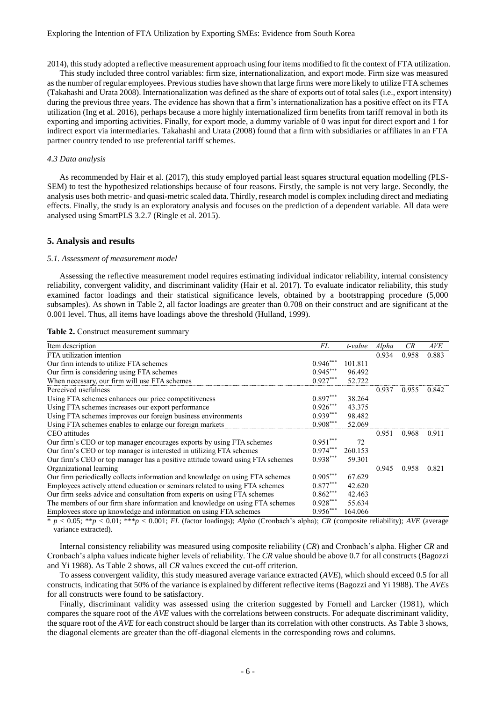2014), this study adopted a reflective measurement approach using four items modified to fit the context of FTA utilization.

This study included three control variables: firm size, internationalization, and export mode. Firm size was measured as the number of regular employees. Previous studies have shown that large firms were more likely to utilize FTA schemes (Takahashi and Urata 2008). Internationalization was defined as the share of exports out of total sales (i.e., export intensity) during the previous three years. The evidence has shown that a firm's internationalization has a positive effect on its FTA utilization (Ing et al. 2016), perhaps because a more highly internationalized firm benefits from tariff removal in both its exporting and importing activities. Finally, for export mode, a dummy variable of 0 was input for direct export and 1 for indirect export via intermediaries. Takahashi and Urata (2008) found that a firm with subsidiaries or affiliates in an FTA partner country tended to use preferential tariff schemes.

#### *4.3 Data analysis*

As recommended by Hair et al. (2017), this study employed partial least squares structural equation modelling (PLS-SEM) to test the hypothesized relationships because of four reasons. Firstly, the sample is not very large. Secondly, the analysis uses both metric- and quasi-metric scaled data. Thirdly, research model is complex including direct and mediating effects. Finally, the study is an exploratory analysis and focuses on the prediction of a dependent variable. All data were analysed using SmartPLS 3.2.7 (Ringle et al. 2015).

#### **5. Analysis and results**

#### *5.1. Assessment of measurement model*

Assessing the reflective measurement model requires estimating individual indicator reliability, internal consistency reliability, convergent validity, and discriminant validity (Hair et al. 2017). To evaluate indicator reliability, this study examined factor loadings and their statistical significance levels, obtained by a bootstrapping procedure (5,000 subsamples). As shown in Table 2, all factor loadings are greater than 0.708 on their construct and are significant at the 0.001 level. Thus, all items have loadings above the threshold (Hulland, 1999).

| Item description                                                               | FL         | t-value | Alpha | CR    | AVE   |
|--------------------------------------------------------------------------------|------------|---------|-------|-------|-------|
| FTA utilization intention                                                      |            |         | 0.934 | 0.958 | 0.883 |
| Our firm intends to utilize FTA schemes                                        | $0.946***$ | 101.811 |       |       |       |
| Our firm is considering using FTA schemes                                      | $0.945***$ | 96.492  |       |       |       |
| When necessary, our firm will use FTA schemes                                  | $0.927***$ | 52.722  |       |       |       |
| Perceived usefulness                                                           |            |         | 0.937 | 0.955 | 0.842 |
| Using FTA schemes enhances our price competitiveness                           | $0.897***$ | 38.264  |       |       |       |
| Using FTA schemes increases our export performance                             | $0.926***$ | 43.375  |       |       |       |
| Using FTA schemes improves our foreign business environments                   | $0.939***$ | 98.482  |       |       |       |
| Using FTA schemes enables to enlarge our foreign markets                       | $0.908***$ | 52.069  |       |       |       |
| CEO attitudes                                                                  |            |         | 0.951 | 0.968 | 0.911 |
| Our firm's CEO or top manager encourages exports by using FTA schemes          | $0.951***$ | 72      |       |       |       |
| Our firm's CEO or top manager is interested in utilizing FTA schemes           | $0.974***$ | 260.153 |       |       |       |
| Our firm's CEO or top manager has a positive attitude toward using FTA schemes | $0.938***$ | 59.301  |       |       |       |
| Organizational learning                                                        |            |         | 0.945 | 0.958 | 0.821 |
| Our firm periodically collects information and knowledge on using FTA schemes  | $0.905***$ | 67.629  |       |       |       |
| Employees actively attend education or seminars related to using FTA schemes   | $0.877***$ | 42.620  |       |       |       |
| Our firm seeks advice and consultation from experts on using FTA schemes       | $0.862***$ | 42.463  |       |       |       |
| The members of our firm share information and knowledge on using FTA schemes   | $0.928***$ | 55.634  |       |       |       |
| Employees store up knowledge and information on using FTA schemes              | $0.956***$ | 164.066 |       |       |       |

\* *p* < 0.05; \*\**p* < 0.01; \*\*\**p* < 0.001; *FL* (factor loadings); *Alpha* (Cronbach's alpha); *CR* (composite reliability); *AVE* (average variance extracted).

Internal consistency reliability was measured using composite reliability (*CR*) and Cronbach's alpha. Higher *CR* and Cronbach's alpha values indicate higher levels of reliability. The *CR* value should be above 0.7 for all constructs (Bagozzi and Yi 1988). As Table 2 shows, all *CR* values exceed the cut-off criterion.

To assess convergent validity, this study measured average variance extracted (*AVE*), which should exceed 0.5 for all constructs, indicating that 50% of the variance is explained by different reflective items (Bagozzi and Yi 1988). The *AVE*s for all constructs were found to be satisfactory.

Finally, discriminant validity was assessed using the criterion suggested by Fornell and Larcker (1981), which compares the square root of the *AVE* values with the correlations between constructs. For adequate discriminant validity, the square root of the *AVE* for each construct should be larger than its correlation with other constructs. As Table 3 shows, the diagonal elements are greater than the off-diagonal elements in the corresponding rows and columns.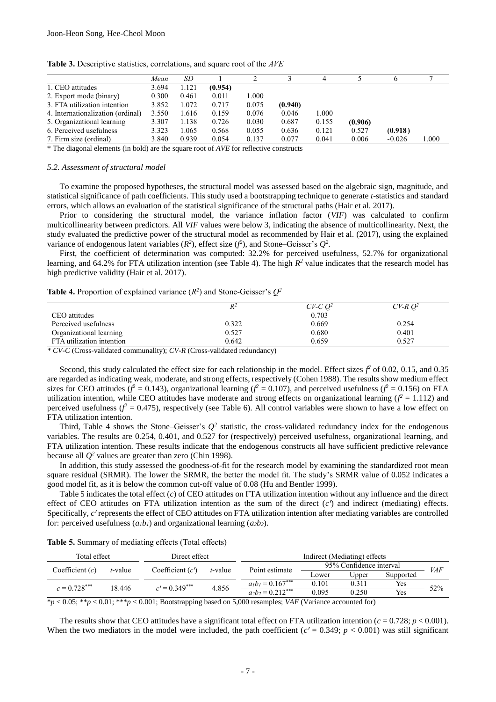|                                   | Mean  | SD    |         |       |         |       |         |          |       |
|-----------------------------------|-------|-------|---------|-------|---------|-------|---------|----------|-------|
| 1. CEO attitudes                  | 3.694 | 1.121 | (0.954) |       |         |       |         |          |       |
| 2. Export mode (binary)           | 0.300 | 0.461 | 0.011   | 1.000 |         |       |         |          |       |
| 3. FTA utilization intention      | 3.852 | 1.072 | 0.717   | 0.075 | (0.940) |       |         |          |       |
| 4. Internationalization (ordinal) | 3.550 | 1.616 | 0.159   | 0.076 | 0.046   | 000.  |         |          |       |
| 5. Organizational learning        | 3.307 | 1.138 | 0.726   | 0.030 | 0.687   | 0.155 | (0.906) |          |       |
| 6. Perceived usefulness           | 3.323 | 1.065 | 0.568   | 0.055 | 0.636   | 0.121 | 0.527   | (0.918)  |       |
| 7. Firm size (ordinal)            | 3.840 | 0.939 | 0.054   | 0.137 | 0.077   | 0.041 | 0.006   | $-0.026$ | 1.000 |

**Table 3.** Descriptive statistics, correlations, and square root of the *AVE*

\* The diagonal elements (in bold) are the square root of *AVE* for reflective constructs

#### *5.2. Assessment of structural model*

To examine the proposed hypotheses, the structural model was assessed based on the algebraic sign, magnitude, and statistical significance of path coefficients. This study used a bootstrapping technique to generate *t*-statistics and standard errors, which allows an evaluation of the statistical significance of the structural paths (Hair et al. 2017).

Prior to considering the structural model, the variance inflation factor (*VIF*) was calculated to confirm multicollinearity between predictors. All *VIF* values were below 3, indicating the absence of multicollinearity. Next, the study evaluated the predictive power of the structural model as recommended by Hair et al. (2017), using the explained variance of endogenous latent variables  $(R^2)$ , effect size  $(f^2)$ , and Stone–Geisser's  $Q^2$ .

First, the coefficient of determination was computed: 32.2% for perceived usefulness, 52.7% for organizational learning, and 64.2% for FTA utilization intention (see Table 4). The high  $R^2$  value indicates that the research model has high predictive validity (Hair et al. 2017).

**Table 4.** Proportion of explained variance  $(R^2)$  and Stone-Geisser's  $Q^2$ 

|                           | $R^2$ | $C V$ -C $O2$ | CV-R O <sup>2</sup> |
|---------------------------|-------|---------------|---------------------|
| CEO attitudes             |       | 0.703         |                     |
| Perceived usefulness      | 0.322 | 0.669         | 0.254               |
| Organizational learning   | 0.527 | 0.680         | 0.401               |
| FTA utilization intention | 0.642 | 0.659         | 0.527               |

*\* CV-C* (Cross-validated communality); *CV-R* (Cross-validated redundancy)

Second, this study calculated the effect size for each relationship in the model. Effect sizes  $f^2$  of 0.02, 0.15, and 0.35 are regarded as indicating weak, moderate, and strong effects, respectively (Cohen 1988). The results show medium effect sizes for CEO attitudes ( $f^2 = 0.143$ ), organizational learning ( $f^2 = 0.107$ ), and perceived usefulness ( $f^2 = 0.156$ ) on FTA utilization intention, while CEO attitudes have moderate and strong effects on organizational learning  $(f^2 = 1.112)$  and perceived usefulness ( $f^2 = 0.475$ ), respectively (see Table 6). All control variables were shown to have a low effect on FTA utilization intention.

Third, Table 4 shows the Stone–Geisser's  $Q^2$  statistic, the cross-validated redundancy index for the endogenous variables. The results are 0.254, 0.401, and 0.527 for (respectively) perceived usefulness, organizational learning, and FTA utilization intention. These results indicate that the endogenous constructs all have sufficient predictive relevance because all  $Q^2$  values are greater than zero (Chin 1998).

In addition, this study assessed the goodness-of-fit for the research model by examining the standardized root mean square residual (SRMR). The lower the SRMR, the better the model fit. The study's SRMR value of 0.052 indicates a good model fit, as it is below the common cut-off value of 0.08 (Hu and Bentler 1999).

Table 5 indicates the total effect (*c*) of CEO attitudes on FTA utilization intention without any influence and the direct effect of CEO attitudes on FTA utilization intention as the sum of the direct  $(c<sup>r</sup>)$  and indirect (mediating) effects. Specifically, *c'* represents the effect of CEO attitudes on FTA utilization intention after mediating variables are controlled for: perceived usefulness  $(a_1b_1)$  and organizational learning  $(a_2b_2)$ .

**Table 5.** Summary of mediating effects (Total effects)

| Total effect<br>Direct effect |                 |                    | Indirect (Mediating) effects |                |                         |       |           |            |
|-------------------------------|-----------------|--------------------|------------------------------|----------------|-------------------------|-------|-----------|------------|
|                               |                 | Coefficient $(c')$ |                              | Point estimate | 95% Confidence interval |       |           | <i>VAF</i> |
| Coefficient $(c)$<br>t-value  |                 |                    | t-value                      |                | Lower                   | Upper | Supported |            |
| $c = 0.728***$<br>18.446      | $c' = 0.349***$ | 4.856              | $a_1b_1 = 0.167***$          | 0.101          | 0.311                   | Yes   |           |            |
|                               |                 |                    | $a_2b_2 = 0.212***$          | 0.095          | 0.250                   | Yes   | 52%       |            |

\**p* < 0.05; \*\**p* < 0.01; \*\*\**p* < 0.001; Bootstrapping based on 5,000 resamples; *VAF* (Variance accounted for)

The results show that CEO attitudes have a significant total effect on FTA utilization intention ( $c = 0.728$ ;  $p < 0.001$ ). When the two mediators in the model were included, the path coefficient  $(c' = 0.349; p < 0.001)$  was still significant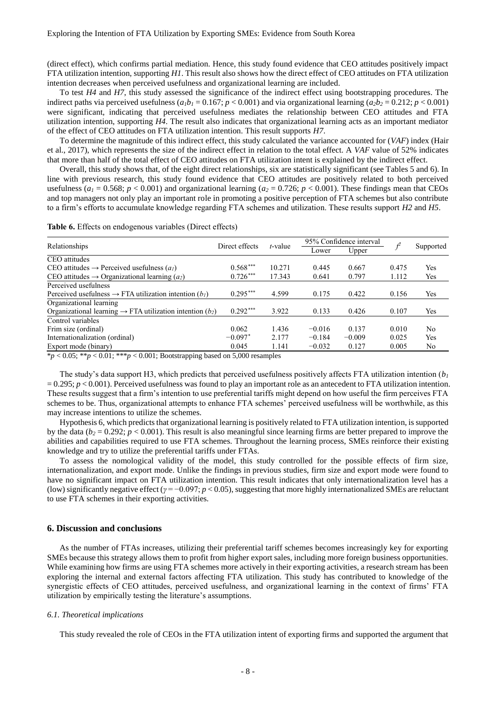(direct effect), which confirms partial mediation. Hence, this study found evidence that CEO attitudes positively impact FTA utilization intention, supporting *H1*. This result also shows how the direct effect of CEO attitudes on FTA utilization intention decreases when perceived usefulness and organizational learning are included.

To test *H4* and *H7*, this study assessed the significance of the indirect effect using bootstrapping procedures. The indirect paths via perceived usefulness  $(a_l b_l = 0.167; p < 0.001)$  and via organizational learning  $(a_2 b_2 = 0.212; p < 0.001)$ were significant, indicating that perceived usefulness mediates the relationship between CEO attitudes and FTA utilization intention, supporting *H4*. The result also indicates that organizational learning acts as an important mediator of the effect of CEO attitudes on FTA utilization intention. This result supports *H7*.

To determine the magnitude of this indirect effect, this study calculated the variance accounted for (*VAF*) index (Hair et al., 2017), which represents the size of the indirect effect in relation to the total effect. A *VAF* value of 52% indicates that more than half of the total effect of CEO attitudes on FTA utilization intent is explained by the indirect effect.

Overall, this study shows that, of the eight direct relationships, six are statistically significant (see Tables 5 and 6). In line with previous research, this study found evidence that CEO attitudes are positively related to both perceived usefulness  $(a_1 = 0.568; p < 0.001)$  and organizational learning  $(a_2 = 0.726; p < 0.001)$ . These findings mean that CEOs and top managers not only play an important role in promoting a positive perception of FTA schemes but also contribute to a firm's efforts to accumulate knowledge regarding FTA schemes and utilization. These results support *H2* and *H5*.

|  |  |  |  |  | Table 6. Effects on endogenous variables (Direct effects) |
|--|--|--|--|--|-----------------------------------------------------------|
|--|--|--|--|--|-----------------------------------------------------------|

| Relationships                                                                  | Direct effects | <i>t</i> -value | 95% Confidence interval |          |       |           |
|--------------------------------------------------------------------------------|----------------|-----------------|-------------------------|----------|-------|-----------|
|                                                                                |                |                 | Lower                   | Upper    |       | Supported |
| CEO attitudes                                                                  |                |                 |                         |          |       |           |
| CEO attitudes $\rightarrow$ Perceived usefulness $(al)$                        | $0.568***$     | 10.271          | 0.445                   | 0.667    | 0.475 | Yes       |
| CEO attitudes $\rightarrow$ Organizational learning (a2)                       | 0.726***       | 17.343          | 0.641                   | 0.797    | 112   | Yes       |
| Perceived usefulness                                                           |                |                 |                         |          |       |           |
| Perceived usefulness $\rightarrow$ FTA utilization intention (b <sub>1</sub> ) | $0.295***$     | 4.599           | n 175                   | 0 422    | 0.156 | Yes       |
| Organizational learning                                                        |                |                 |                         |          |       |           |
| Organizational learning $\rightarrow$ FTA utilization intention (b2)           | $0.292***$     | 3.922           | 0.133                   | 0.426    | 0.107 | Yes       |
| Control variables                                                              |                |                 |                         |          |       |           |
| Frim size (ordinal)                                                            | 0.062          | 1.436           | $-0.016$                | 0.137    | 0.010 | No.       |
| Internationalization (ordinal)                                                 | $-0.097*$      | 2.177           | $-0.184$                | $-0.009$ | 0.025 | Yes       |
| Export mode (binary)                                                           | 0.045          | 1.141           | $-0.032$                | 0.127    | 0.005 | No        |
|                                                                                |                |                 |                         |          |       |           |

\**p* < 0.05; \*\**p* < 0.01; \*\*\**p* < 0.001; Bootstrapping based on 5,000 resamples

The study's data support H3, which predicts that perceived usefulness positively affects FTA utilization intention  $(b<sub>1</sub>)$  $= 0.295$ ;  $p < 0.001$ ). Perceived usefulness was found to play an important role as an antecedent to FTA utilization intention. These results suggest that a firm's intention to use preferential tariffs might depend on how useful the firm perceives FTA schemes to be. Thus, organizational attempts to enhance FTA schemes' perceived usefulness will be worthwhile, as this may increase intentions to utilize the schemes.

Hypothesis 6, which predicts that organizational learning is positively related to FTA utilization intention, is supported by the data ( $b_2 = 0.292$ ;  $p < 0.001$ ). This result is also meaningful since learning firms are better prepared to improve the abilities and capabilities required to use FTA schemes. Throughout the learning process, SMEs reinforce their existing knowledge and try to utilize the preferential tariffs under FTAs.

To assess the nomological validity of the model, this study controlled for the possible effects of firm size, internationalization, and export mode. Unlike the findings in previous studies, firm size and export mode were found to have no significant impact on FTA utilization intention. This result indicates that only internationalization level has a (low) significantly negative effect (*γ* = −0.097; *p* < 0.05), suggesting that more highly internationalized SMEs are reluctant to use FTA schemes in their exporting activities.

#### **6. Discussion and conclusions**

As the number of FTAs increases, utilizing their preferential tariff schemes becomes increasingly key for exporting SMEs because this strategy allows them to profit from higher export sales, including more foreign business opportunities. While examining how firms are using FTA schemes more actively in their exporting activities, a research stream has been exploring the internal and external factors affecting FTA utilization. This study has contributed to knowledge of the synergistic effects of CEO attitudes, perceived usefulness, and organizational learning in the context of firms' FTA utilization by empirically testing the literature's assumptions.

#### *6.1. Theoretical implications*

This study revealed the role of CEOs in the FTA utilization intent of exporting firms and supported the argument that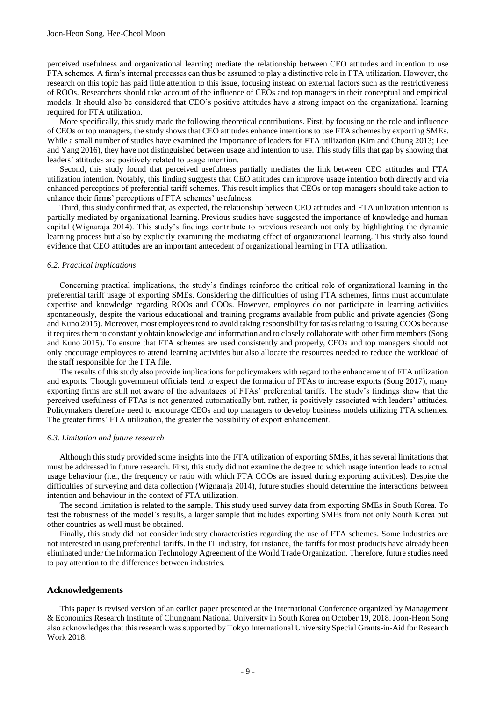perceived usefulness and organizational learning mediate the relationship between CEO attitudes and intention to use FTA schemes. A firm's internal processes can thus be assumed to play a distinctive role in FTA utilization. However, the research on this topic has paid little attention to this issue, focusing instead on external factors such as the restrictiveness of ROOs. Researchers should take account of the influence of CEOs and top managers in their conceptual and empirical models. It should also be considered that CEO's positive attitudes have a strong impact on the organizational learning required for FTA utilization.

More specifically, this study made the following theoretical contributions. First, by focusing on the role and influence of CEOs or top managers, the study shows that CEO attitudes enhance intentions to use FTA schemes by exporting SMEs. While a small number of studies have examined the importance of leaders for FTA utilization (Kim and Chung 2013; Lee and Yang 2016), they have not distinguished between usage and intention to use. This study fills that gap by showing that leaders' attitudes are positively related to usage intention.

Second, this study found that perceived usefulness partially mediates the link between CEO attitudes and FTA utilization intention. Notably, this finding suggests that CEO attitudes can improve usage intention both directly and via enhanced perceptions of preferential tariff schemes. This result implies that CEOs or top managers should take action to enhance their firms' perceptions of FTA schemes' usefulness.

Third, this study confirmed that, as expected, the relationship between CEO attitudes and FTA utilization intention is partially mediated by organizational learning. Previous studies have suggested the importance of knowledge and human capital (Wignaraja 2014). This study's findings contribute to previous research not only by highlighting the dynamic learning process but also by explicitly examining the mediating effect of organizational learning. This study also found evidence that CEO attitudes are an important antecedent of organizational learning in FTA utilization.

#### *6.2. Practical implications*

Concerning practical implications, the study's findings reinforce the critical role of organizational learning in the preferential tariff usage of exporting SMEs. Considering the difficulties of using FTA schemes, firms must accumulate expertise and knowledge regarding ROOs and COOs. However, employees do not participate in learning activities spontaneously, despite the various educational and training programs available from public and private agencies (Song and Kuno 2015). Moreover, most employees tend to avoid taking responsibility for tasks relating to issuing COOs because it requires them to constantly obtain knowledge and information and to closely collaborate with other firm members (Song and Kuno 2015). To ensure that FTA schemes are used consistently and properly, CEOs and top managers should not only encourage employees to attend learning activities but also allocate the resources needed to reduce the workload of the staff responsible for the FTA file.

The results of this study also provide implications for policymakers with regard to the enhancement of FTA utilization and exports. Though government officials tend to expect the formation of FTAs to increase exports (Song 2017), many exporting firms are still not aware of the advantages of FTAs' preferential tariffs. The study's findings show that the perceived usefulness of FTAs is not generated automatically but, rather, is positively associated with leaders' attitudes. Policymakers therefore need to encourage CEOs and top managers to develop business models utilizing FTA schemes. The greater firms' FTA utilization, the greater the possibility of export enhancement.

#### *6.3. Limitation and future research*

Although this study provided some insights into the FTA utilization of exporting SMEs, it has several limitations that must be addressed in future research. First, this study did not examine the degree to which usage intention leads to actual usage behaviour (i.e., the frequency or ratio with which FTA COOs are issued during exporting activities). Despite the difficulties of surveying and data collection (Wignaraja 2014), future studies should determine the interactions between intention and behaviour in the context of FTA utilization.

The second limitation is related to the sample. This study used survey data from exporting SMEs in South Korea. To test the robustness of the model's results, a larger sample that includes exporting SMEs from not only South Korea but other countries as well must be obtained.

Finally, this study did not consider industry characteristics regarding the use of FTA schemes. Some industries are not interested in using preferential tariffs. In the IT industry, for instance, the tariffs for most products have already been eliminated under the Information Technology Agreement of the World Trade Organization. Therefore, future studies need to pay attention to the differences between industries.

#### **Acknowledgements**

This paper is revised version of an earlier paper presented at the International Conference organized by Management & Economics Research Institute of Chungnam National University in South Korea on October 19, 2018. Joon-Heon Song also acknowledges that this research was supported by Tokyo International University Special Grants-in-Aid for Research Work 2018.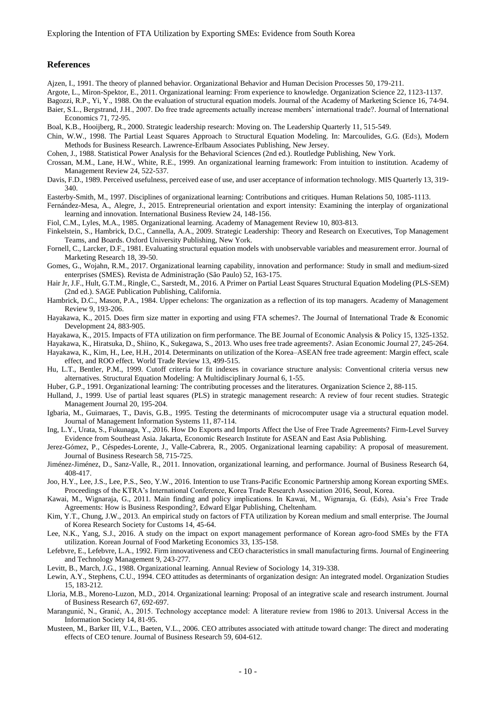#### **References**

Ajzen, I., 1991. The theory of planned behavior. Organizational Behavior and Human Decision Processes 50, 179-211.

Argote, L., Miron-Spektor, E., 2011. Organizational learning: From experience to knowledge. Organization Science 22, 1123-1137.

Bagozzi, R.P., Yi, Y., 1988. On the evaluation of structural equation models. Journal of the Academy of Marketing Science 16, 74-94. Baier, S.L., Bergstrand, J.H., 2007. Do free trade agreements actually increase members' international trade?. Journal of International Economics 71, 72-95.

Boal, K.B., Hooijberg, R., 2000. Strategic leadership research: Moving on. The Leadership Quarterly 11, 515-549.

Chin, W.W., 1998. The Partial Least Squares Approach to Structural Equation Modeling. In: Marcoulides, G.G. (Eds), Modern Methods for Business Research. Lawrence-Erlbaum Associates Publishing, New Jersey.

Cohen, J., 1988. Statistical Power Analysis for the Behavioral Sciences (2nd ed.). Routledge Publishing, New York.

- Crossan, M.M., Lane, H.W., White, R.E., 1999. An organizational learning framework: From intuition to institution. Academy of Management Review 24, 522-537.
- Davis, F.D., 1989. Perceived usefulness, perceived ease of use, and user acceptance of information technology. MIS Quarterly 13, 319- 340.
- Easterby-Smith, M., 1997. Disciplines of organizational learning: Contributions and critiques. Human Relations 50, 1085-1113.
- Fernández-Mesa, A., Alegre, J., 2015. Entrepreneurial orientation and export intensity: Examining the interplay of organizational learning and innovation. International Business Review 24, 148-156.

Fiol, C.M., Lyles, M.A., 1985. Organizational learning. Academy of Management Review 10, 803-813.

- Finkelstein, S., Hambrick, D.C., Cannella, A.A., 2009. Strategic Leadership: Theory and Research on Executives, Top Management Teams, and Boards. Oxford University Publishing, New York.
- Fornell, C., Larcker, D.F., 1981. Evaluating structural equation models with unobservable variables and measurement error. Journal of Marketing Research 18, 39-50.
- Gomes, G., Wojahn, R.M., 2017. Organizational learning capability, innovation and performance: Study in small and medium-sized enterprises (SMES). Revista de Administração (São Paulo) 52, 163-175.
- Hair Jr, J.F., Hult, G.T.M., Ringle, C., Sarstedt, M., 2016. A Primer on Partial Least Squares Structural Equation Modeling (PLS-SEM) (2nd ed.). SAGE Publication Publishing, California.
- Hambrick, D.C., Mason, P.A., 1984. Upper echelons: The organization as a reflection of its top managers. Academy of Management Review 9, 193-206.
- Hayakawa, K., 2015. Does firm size matter in exporting and using FTA schemes?. The Journal of International Trade & Economic Development 24, 883-905.

Hayakawa, K., 2015. Impacts of FTA utilization on firm performance. The BE Journal of Economic Analysis & Policy 15, 1325-1352.

Hayakawa, K., Hiratsuka, D., Shiino, K., Sukegawa, S., 2013. Who uses free trade agreements?. Asian Economic Journal 27, 245-264.

- Hayakawa, K., Kim, H., Lee, H.H., 2014. Determinants on utilization of the Korea–ASEAN free trade agreement: Margin effect, scale effect, and ROO effect. World Trade Review 13, 499-515.
- Hu, L.T., Bentler, P.M., 1999. Cutoff criteria for fit indexes in covariance structure analysis: Conventional criteria versus new alternatives. Structural Equation Modeling: A Multidisciplinary Journal 6, 1-55.
- Huber, G.P., 1991. Organizational learning: The contributing processes and the literatures. Organization Science 2, 88-115.
- Hulland, J., 1999. Use of partial least squares (PLS) in strategic management research: A review of four recent studies. Strategic Management Journal 20, 195-204.
- Igbaria, M., Guimaraes, T., Davis, G.B., 1995. Testing the determinants of microcomputer usage via a structural equation model. Journal of Management Information Systems 11, 87-114.
- Ing, L.Y., Urata, S., Fukunaga, Y., 2016. How Do Exports and Imports Affect the Use of Free Trade Agreements? Firm-Level Survey Evidence from Southeast Asia. Jakarta, Economic Research Institute for ASEAN and East Asia Publishing.
- Jerez-Gómez, P., Céspedes-Lorente, J., Valle-Cabrera, R., 2005. Organizational learning capability: A proposal of measurement. Journal of Business Research 58, 715-725.
- Jiménez-Jiménez, D., Sanz-Valle, R., 2011. Innovation, organizational learning, and performance. Journal of Business Research 64, 408-417.
- Joo, H.Y., Lee, J.S., Lee, P.S., Seo, Y.W., 2016. Intention to use Trans-Pacific Economic Partnership among Korean exporting SMEs. Proceedings of the KTRA's International Conference, Korea Trade Research Association 2016, Seoul, Korea.
- Kawai, M., Wignaraja, G., 2011. Main finding and policy implications. In Kawai, M., Wignaraja, G. (Eds), Asia's Free Trade Agreements: How is Business Responding?, Edward Elgar Publishing, Cheltenham.
- Kim, Y.T., Chung, J.W., 2013. An empirical study on factors of FTA utilization by Korean medium and small enterprise. The Journal of Korea Research Society for Customs 14, 45-64.
- Lee, N.K., Yang, S.J., 2016. A study on the impact on export management performance of Korean agro-food SMEs by the FTA utilization. Korean Journal of Food Marketing Economics 33, 135-158.
- Lefebvre, E., Lefebvre, L.A., 1992. Firm innovativeness and CEO characteristics in small manufacturing firms. Journal of Engineering and Technology Management 9, 243-277.

Levitt, B., March, J.G., 1988. Organizational learning. Annual Review of Sociology 14, 319-338.

- Lewin, A.Y., Stephens, C.U., 1994. CEO attitudes as determinants of organization design: An integrated model. Organization Studies 15, 183-212.
- Lloria, M.B., Moreno-Luzon, M.D., 2014. Organizational learning: Proposal of an integrative scale and research instrument. Journal of Business Research 67, 692-697.
- Marangunić, N., Granić, A., 2015. Technology acceptance model: A literature review from 1986 to 2013. Universal Access in the Information Society 14, 81-95.
- Musteen, M., Barker III, V.L., Baeten, V.L., 2006. CEO attributes associated with attitude toward change: The direct and moderating effects of CEO tenure. Journal of Business Research 59, 604-612.